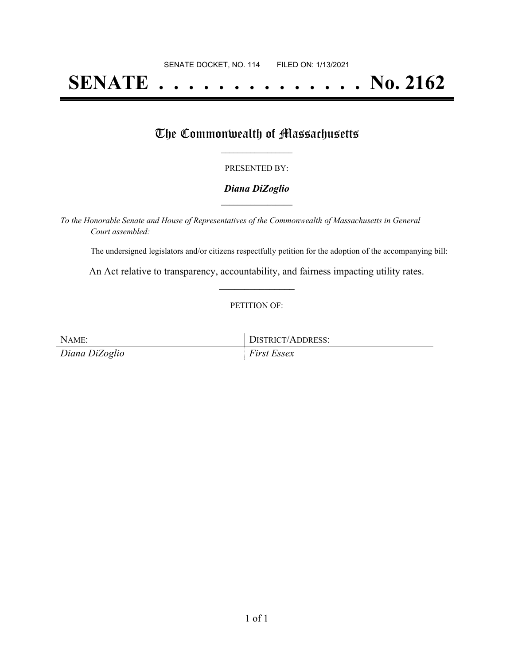# **SENATE . . . . . . . . . . . . . . No. 2162**

## The Commonwealth of Massachusetts

#### PRESENTED BY:

#### *Diana DiZoglio* **\_\_\_\_\_\_\_\_\_\_\_\_\_\_\_\_\_**

*To the Honorable Senate and House of Representatives of the Commonwealth of Massachusetts in General Court assembled:*

The undersigned legislators and/or citizens respectfully petition for the adoption of the accompanying bill:

An Act relative to transparency, accountability, and fairness impacting utility rates. **\_\_\_\_\_\_\_\_\_\_\_\_\_\_\_**

#### PETITION OF:

NAME: DISTRICT/ADDRESS: *Diana DiZoglio First Essex*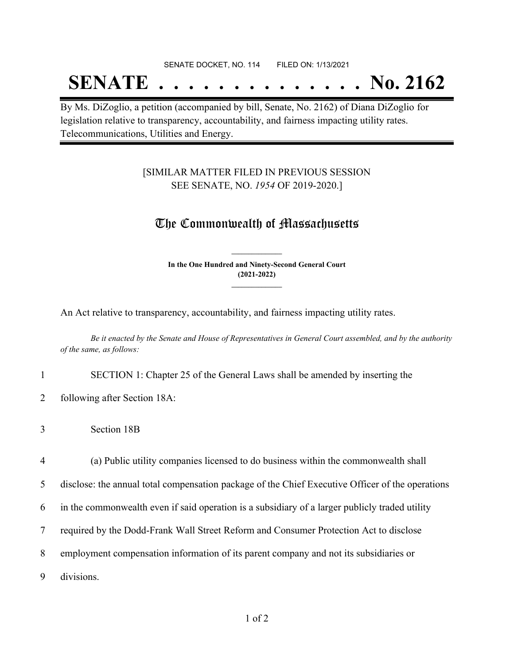#### SENATE DOCKET, NO. 114 FILED ON: 1/13/2021

## **SENATE . . . . . . . . . . . . . . No. 2162**

By Ms. DiZoglio, a petition (accompanied by bill, Senate, No. 2162) of Diana DiZoglio for legislation relative to transparency, accountability, and fairness impacting utility rates. Telecommunications, Utilities and Energy.

### [SIMILAR MATTER FILED IN PREVIOUS SESSION SEE SENATE, NO. *1954* OF 2019-2020.]

### The Commonwealth of Massachusetts

**In the One Hundred and Ninety-Second General Court (2021-2022) \_\_\_\_\_\_\_\_\_\_\_\_\_\_\_**

**\_\_\_\_\_\_\_\_\_\_\_\_\_\_\_**

An Act relative to transparency, accountability, and fairness impacting utility rates.

Be it enacted by the Senate and House of Representatives in General Court assembled, and by the authority *of the same, as follows:*

1 SECTION 1: Chapter 25 of the General Laws shall be amended by inserting the

- 2 following after Section 18A:
- 3 Section 18B

 (a) Public utility companies licensed to do business within the commonwealth shall disclose: the annual total compensation package of the Chief Executive Officer of the operations in the commonwealth even if said operation is a subsidiary of a larger publicly traded utility required by the Dodd-Frank Wall Street Reform and Consumer Protection Act to disclose employment compensation information of its parent company and not its subsidiaries or divisions.